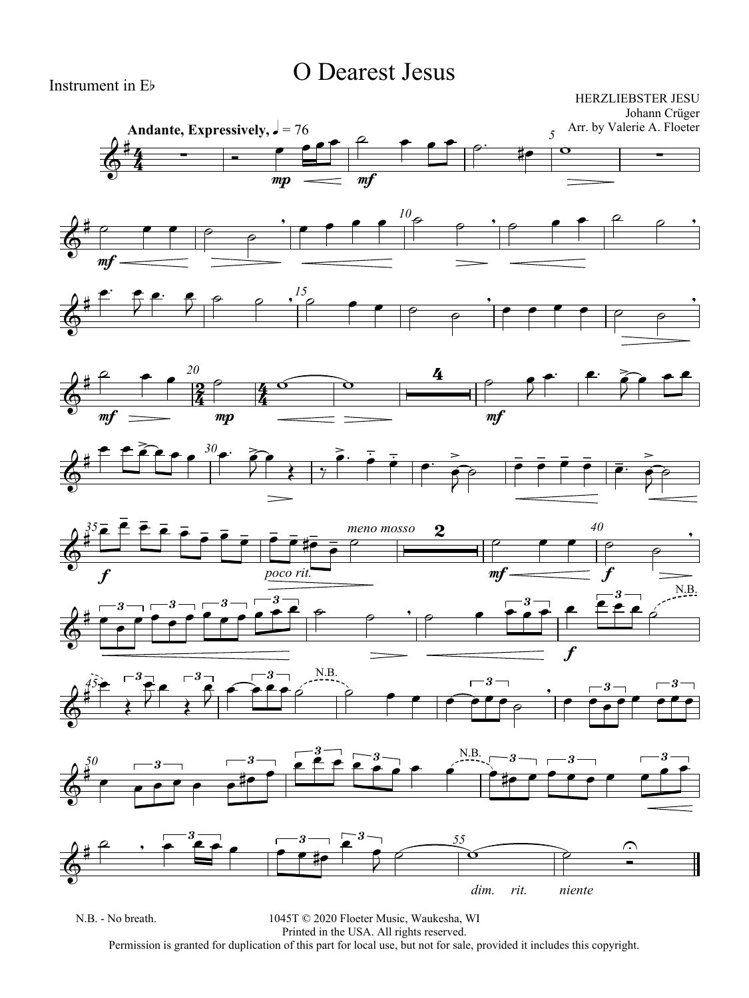## O Dearest Jesus

Instrument in Eb

HERZLIEBSTER JESU Johann Crüger

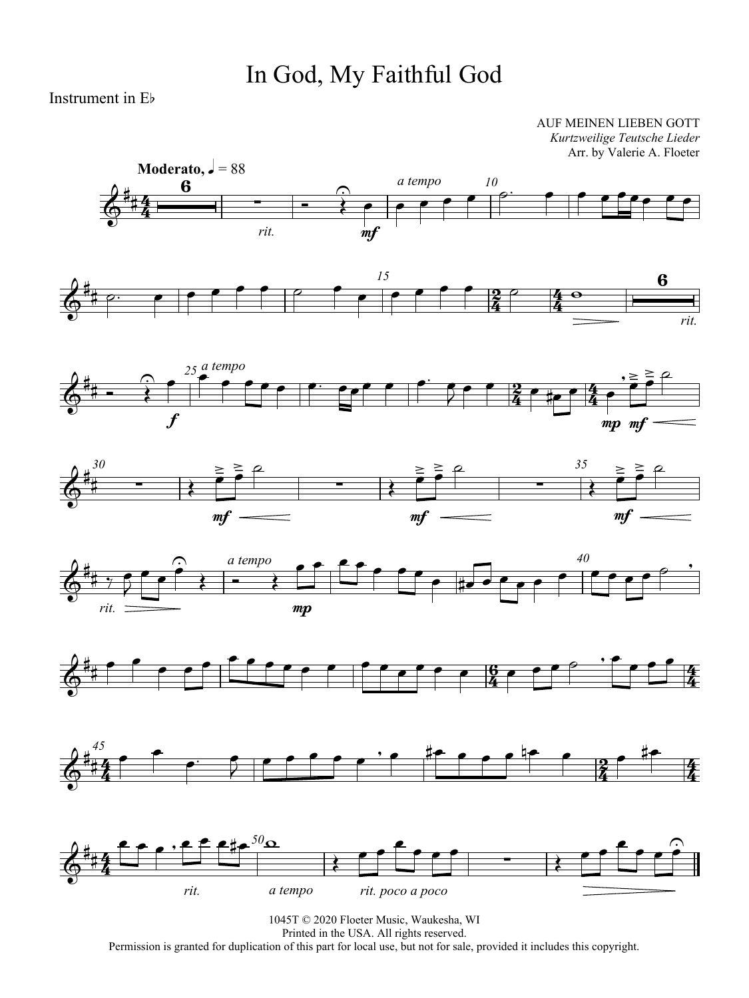## In God, My Faithful God

Instrument in Eb

AUF MEINEN LIEBEN GOTT *Kurtzweilige Teutsche Lieder* Arr. by Valerie A. Floeter

















1045T © 2020 Floeter Music, Waukesha, WI Printed in the USA. All rights reserved. Permission is granted for duplication of this part for local use, but not for sale, provided it includes this copyright.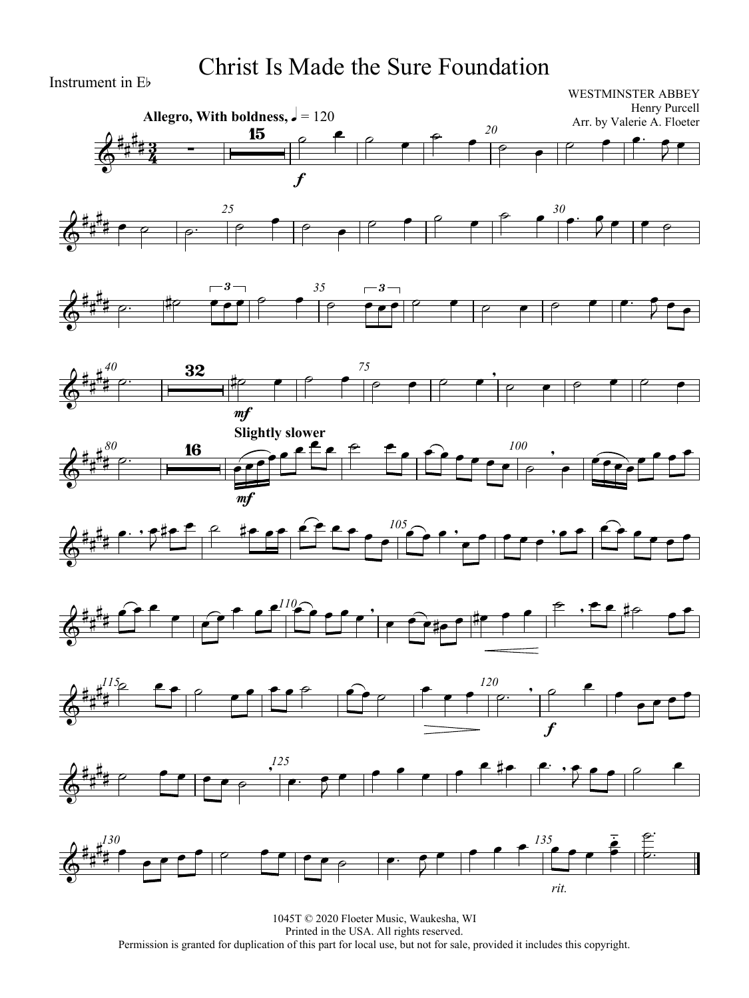### Christ Is Made the Sure Foundation



#### WESTMINSTER ABBEY Henry Purcell Arr. by Valerie A. Floeter



















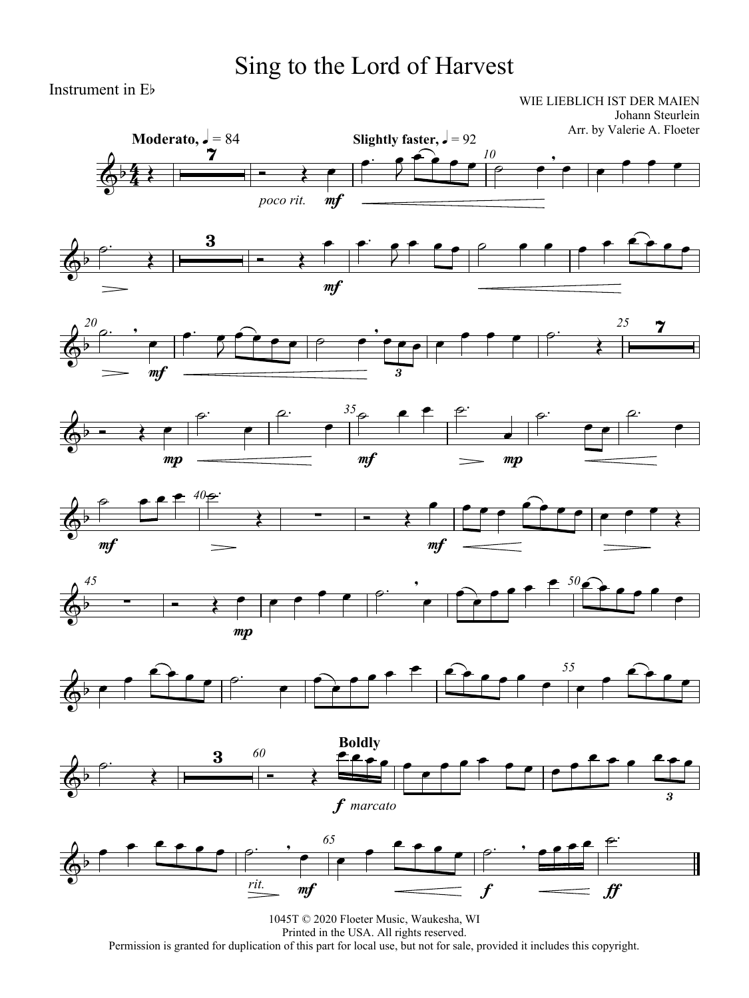## Sing to the Lord of Harvest

Instrument in Eb

WIE LIEBLICH IST DER MAIEN Johann Steurlein

















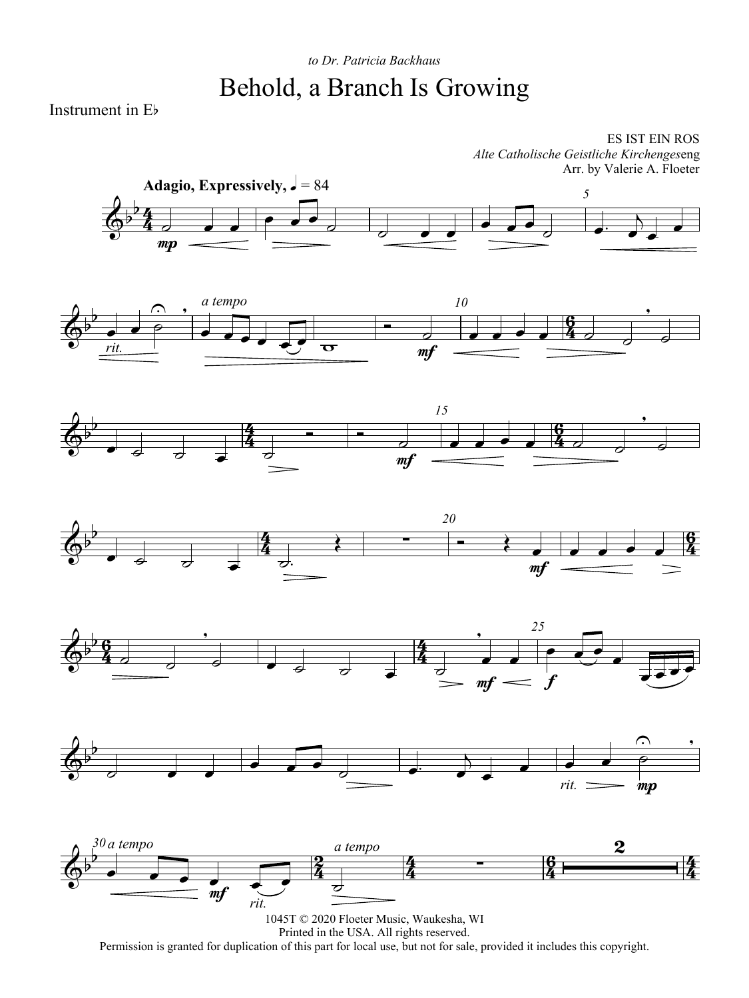### *to Dr. Patricia Backhaus* Behold, a Branch Is Growing

Instrument in Eb

ES IST EIN ROS *Alte Catholische Geistliche Kirchenges*eng Arr. by Valerie A. Floeter













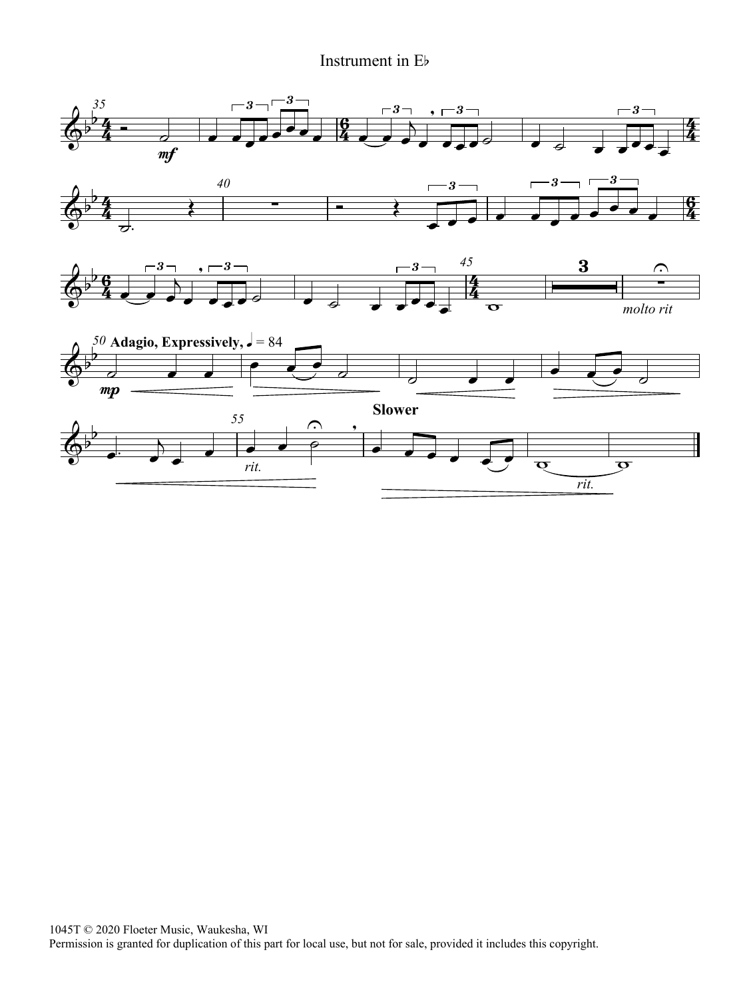### Instrument in Eb

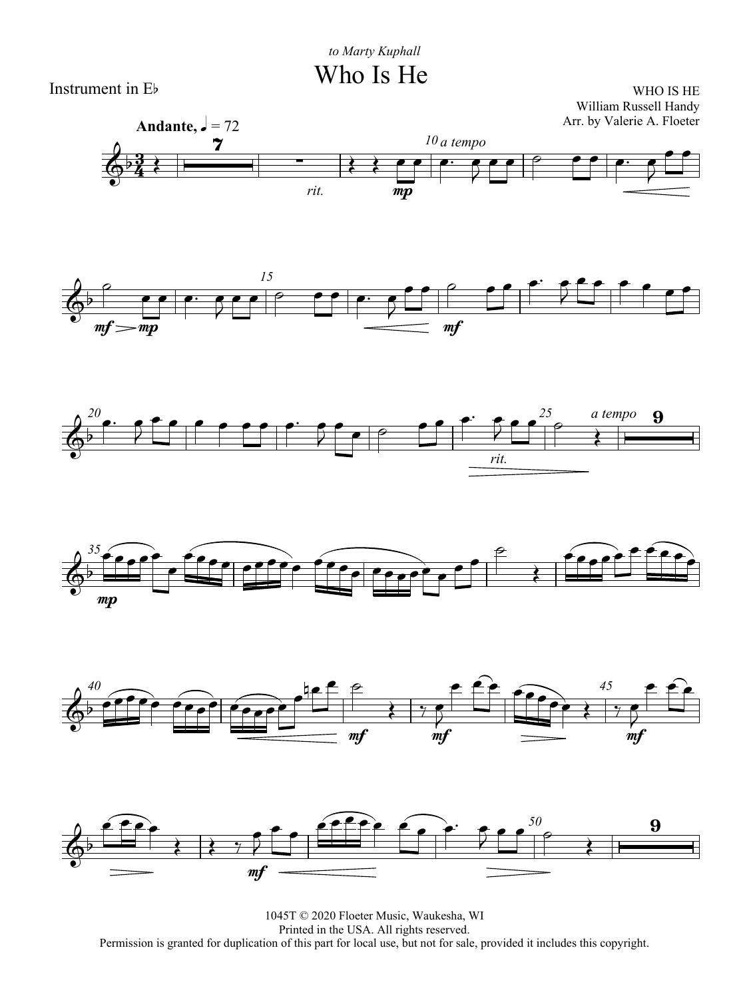

WHO IS HE William Russell Handy Arr. by Valerie A. Floeter













1045T © 2020 Floeter Music, Waukesha, WI Printed in the USA. All rights reserved. Permission is granted for duplication of this part for local use, but not for sale, provided it includes this copyright.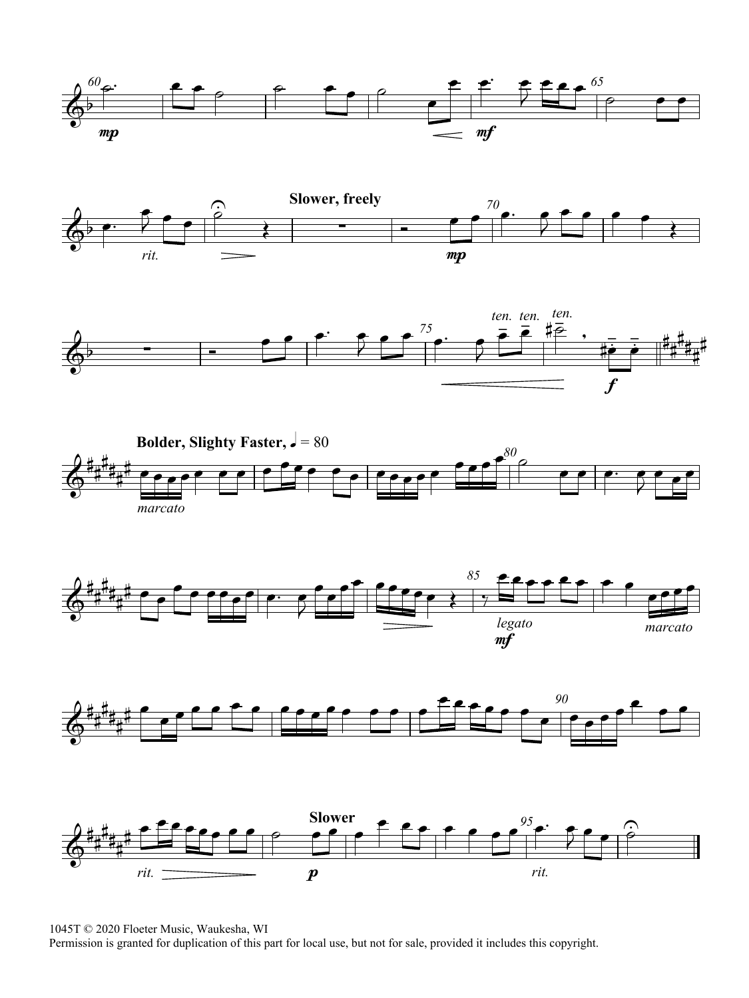













1045T © 2020 Floeter Music, Waukesha, WI

Permission is granted for duplication of this part for local use, but not for sale, provided it includes this copyright.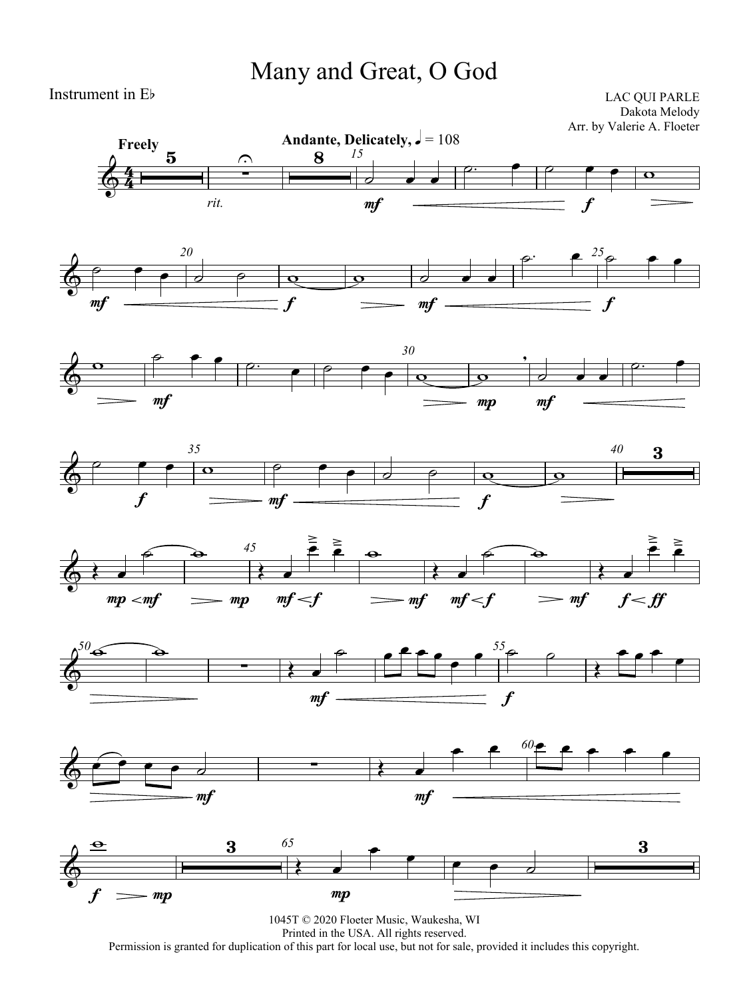## Many and Great, O God

#### Instrument in Eb

LAC QUI PARLE Dakota Melody Arr. by Valerie A. Floeter















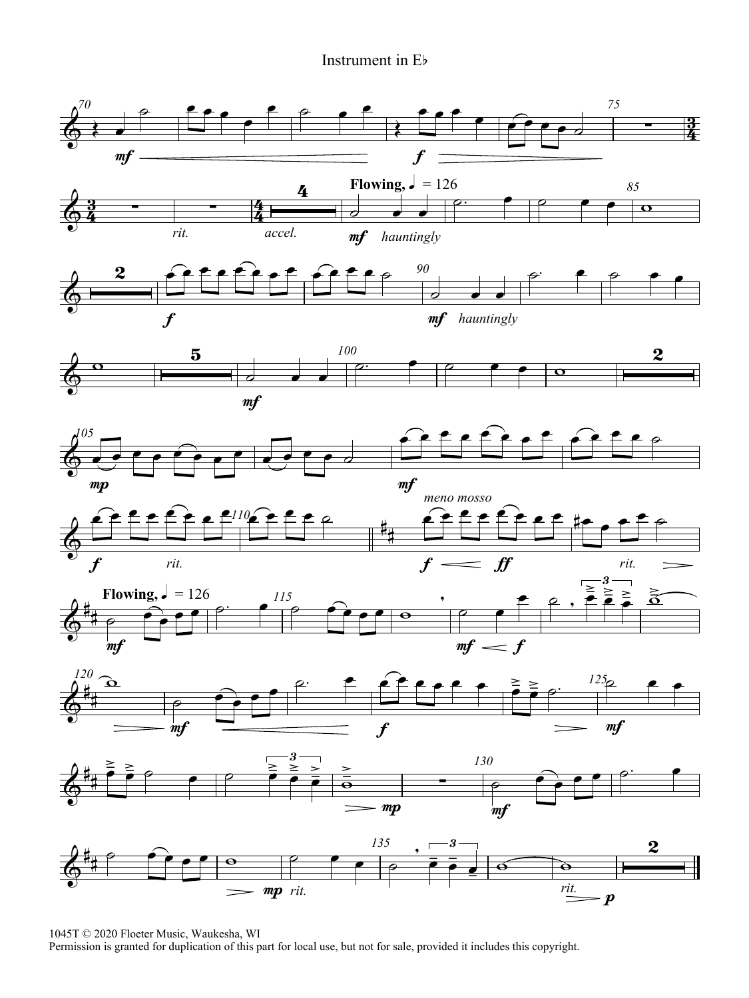#### Instrument in Eb



1045T © 2020 Floeter Music, Waukesha, WI

Permission is granted for duplication of this part for local use, but not for sale, provided it includes this copyright.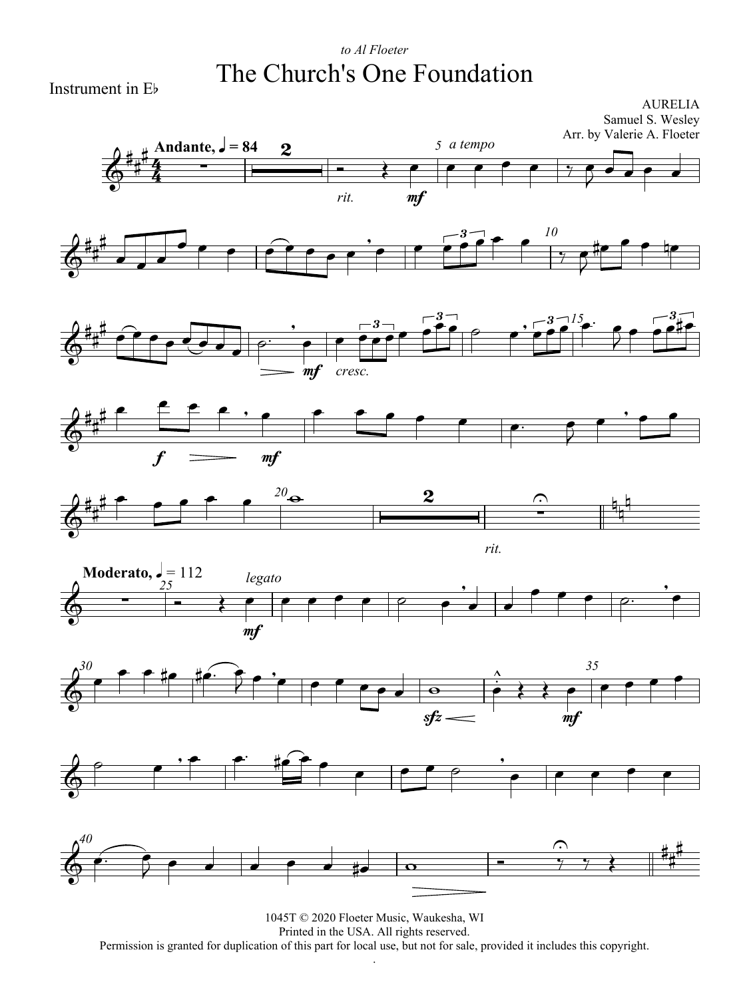### *to Al Floeter* The Church's One Foundation

Instrument in Eb

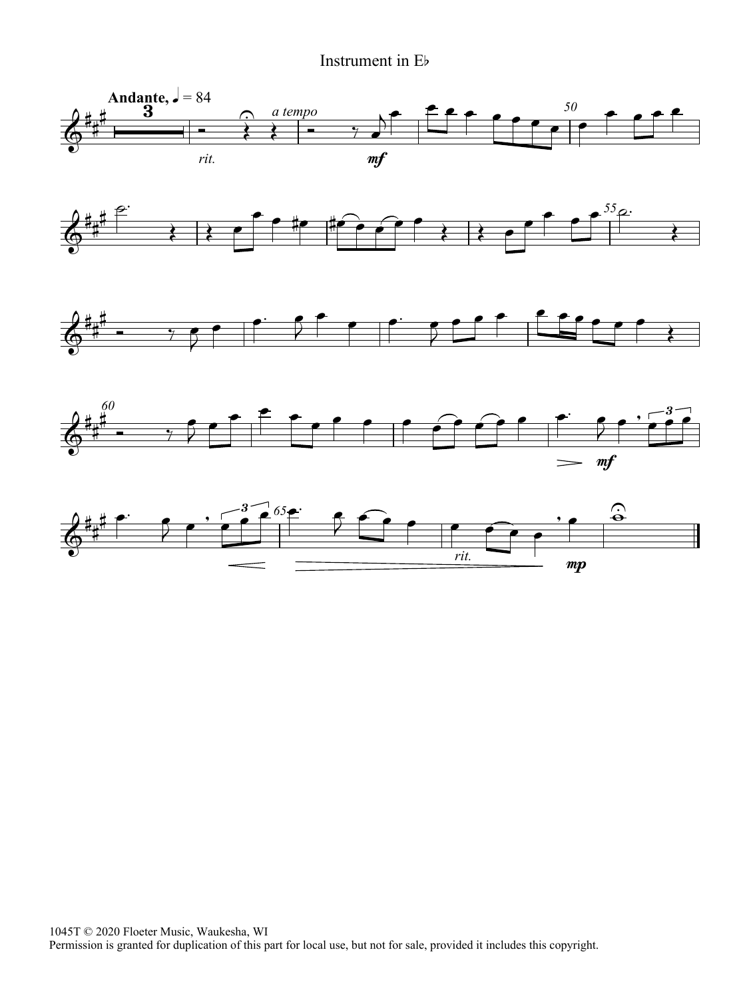#### Instrument in Eb